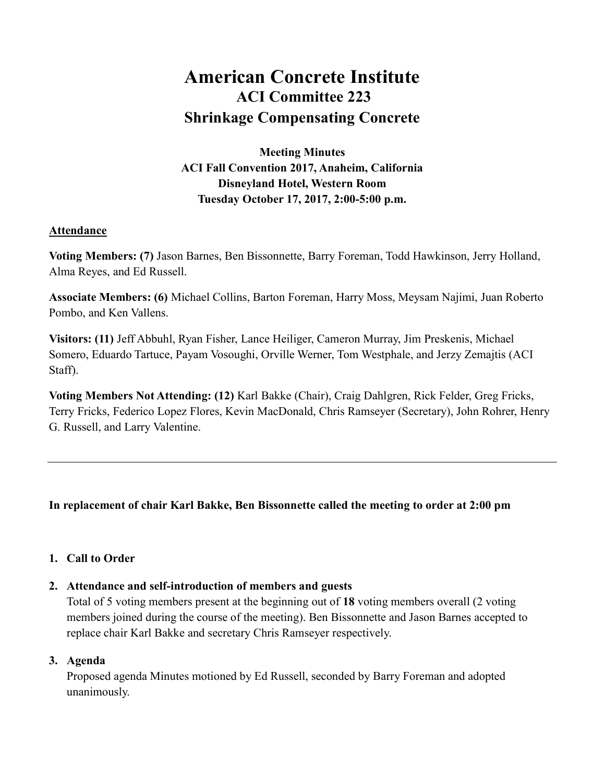# American Concrete Institute ACI Committee 223 Shrinkage Compensating Concrete

Meeting Minutes ACI Fall Convention 2017, Anaheim, California Disneyland Hotel, Western Room Tuesday October 17, 2017, 2:00-5:00 p.m.

# Attendance

Voting Members: (7) Jason Barnes, Ben Bissonnette, Barry Foreman, Todd Hawkinson, Jerry Holland, Alma Reyes, and Ed Russell.

Associate Members: (6) Michael Collins, Barton Foreman, Harry Moss, Meysam Najimi, Juan Roberto Pombo, and Ken Vallens.

Visitors: (11) Jeff Abbuhl, Ryan Fisher, Lance Heiliger, Cameron Murray, Jim Preskenis, Michael Somero, Eduardo Tartuce, Payam Vosoughi, Orville Werner, Tom Westphale, and Jerzy Zemajtis (ACI Staff).

Voting Members Not Attending: (12) Karl Bakke (Chair), Craig Dahlgren, Rick Felder, Greg Fricks, Terry Fricks, Federico Lopez Flores, Kevin MacDonald, Chris Ramseyer (Secretary), John Rohrer, Henry G. Russell, and Larry Valentine.

# In replacement of chair Karl Bakke, Ben Bissonnette called the meeting to order at 2:00 pm

# 1. Call to Order

# 2. Attendance and self-introduction of members and guests

Total of 5 voting members present at the beginning out of 18 voting members overall (2 voting members joined during the course of the meeting). Ben Bissonnette and Jason Barnes accepted to replace chair Karl Bakke and secretary Chris Ramseyer respectively.

#### 3. Agenda

Proposed agenda Minutes motioned by Ed Russell, seconded by Barry Foreman and adopted unanimously.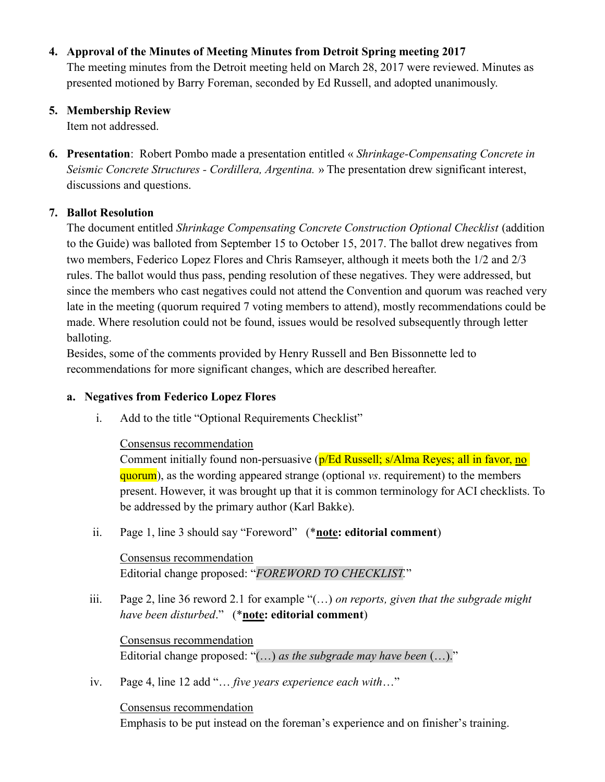## 4. Approval of the Minutes of Meeting Minutes from Detroit Spring meeting 2017

The meeting minutes from the Detroit meeting held on March 28, 2017 were reviewed. Minutes as presented motioned by Barry Foreman, seconded by Ed Russell, and adopted unanimously.

## 5. Membership Review

Item not addressed.

**6. Presentation**: Robert Pombo made a presentation entitled « Shrinkage-Compensating Concrete in Seismic Concrete Structures - Cordillera, Argentina. » The presentation drew significant interest, discussions and questions.

# 7. Ballot Resolution

The document entitled Shrinkage Compensating Concrete Construction Optional Checklist (addition to the Guide) was balloted from September 15 to October 15, 2017. The ballot drew negatives from two members, Federico Lopez Flores and Chris Ramseyer, although it meets both the 1/2 and 2/3 rules. The ballot would thus pass, pending resolution of these negatives. They were addressed, but since the members who cast negatives could not attend the Convention and quorum was reached very late in the meeting (quorum required 7 voting members to attend), mostly recommendations could be made. Where resolution could not be found, issues would be resolved subsequently through letter balloting.

Besides, some of the comments provided by Henry Russell and Ben Bissonnette led to recommendations for more significant changes, which are described hereafter.

## a. Negatives from Federico Lopez Flores

i. Add to the title "Optional Requirements Checklist"

#### Consensus recommendation

Comment initially found non-persuasive (p/Ed Russell; s/Alma Reyes; all in favor, no quorum), as the wording appeared strange (optional vs. requirement) to the members present. However, it was brought up that it is common terminology for ACI checklists. To be addressed by the primary author (Karl Bakke).

ii. Page 1, line 3 should say "Foreword" (\*note: editorial comment)

# Consensus recommendation Editorial change proposed: "FOREWORD TO CHECKLIST."

iii. Page 2, line 36 reword 2.1 for example " $(...)$  on reports, given that the subgrade might have been disturbed." (\*note: editorial comment)

Consensus recommendation Editorial change proposed: " $(...)$  as the subgrade may have been  $(...)$ ."

iv. Page 4, line 12 add "… five years experience each with…"

Consensus recommendation

Emphasis to be put instead on the foreman's experience and on finisher's training.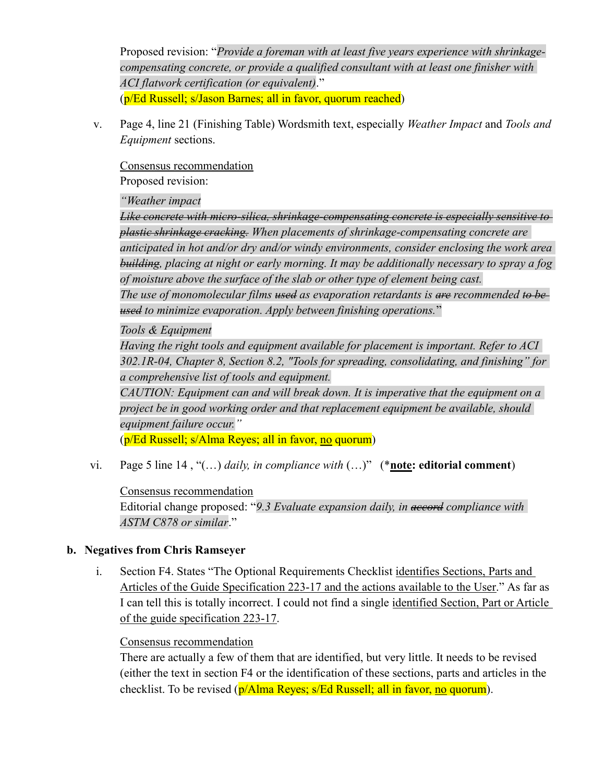Proposed revision: "Provide a foreman with at least five years experience with shrinkagecompensating concrete, or provide a qualified consultant with at least one finisher with ACI flatwork certification (or equivalent)." (p/Ed Russell; s/Jason Barnes; all in favor, quorum reached)

v. Page 4, line 21 (Finishing Table) Wordsmith text, especially Weather Impact and Tools and Equipment sections.

Consensus recommendation

Proposed revision:

"Weather impact

Like concrete with micro-silica, shrinkage-compensating concrete is especially sensitive to plastic shrinkage cracking. When placements of shrinkage-compensating concrete are anticipated in hot and/or dry and/or windy environments, consider enclosing the work area building, placing at night or early morning. It may be additionally necessary to spray a fog of moisture above the surface of the slab or other type of element being cast. The use of monomolecular films  $t$  used as evaporation retardants is are recommended to beused to minimize evaporation. Apply between finishing operations."

Tools & Equipment

Having the right tools and equipment available for placement is important. Refer to ACI 302.1R-04, Chapter 8, Section 8.2, "Tools for spreading, consolidating, and finishing" for a comprehensive list of tools and equipment.

CAUTION: Equipment can and will break down. It is imperative that the equipment on a project be in good working order and that replacement equipment be available, should equipment failure occur."

(p/Ed Russell; s/Alma Reyes; all in favor, no quorum)

vi. Page 5 line 14, "(...) daily, in compliance with  $(...)$ " (\*note: editorial comment)

Consensus recommendation Editorial change proposed: "9.3 Evaluate expansion daily, in accord compliance with ASTM C878 or similar."

#### b. Negatives from Chris Ramseyer

i. Section F4. States "The Optional Requirements Checklist identifies Sections, Parts and Articles of the Guide Specification 223-17 and the actions available to the User." As far as I can tell this is totally incorrect. I could not find a single identified Section, Part or Article of the guide specification 223-17.

#### Consensus recommendation

There are actually a few of them that are identified, but very little. It needs to be revised (either the text in section F4 or the identification of these sections, parts and articles in the checklist. To be revised (p/Alma Reyes; s/Ed Russell; all in favor, no quorum).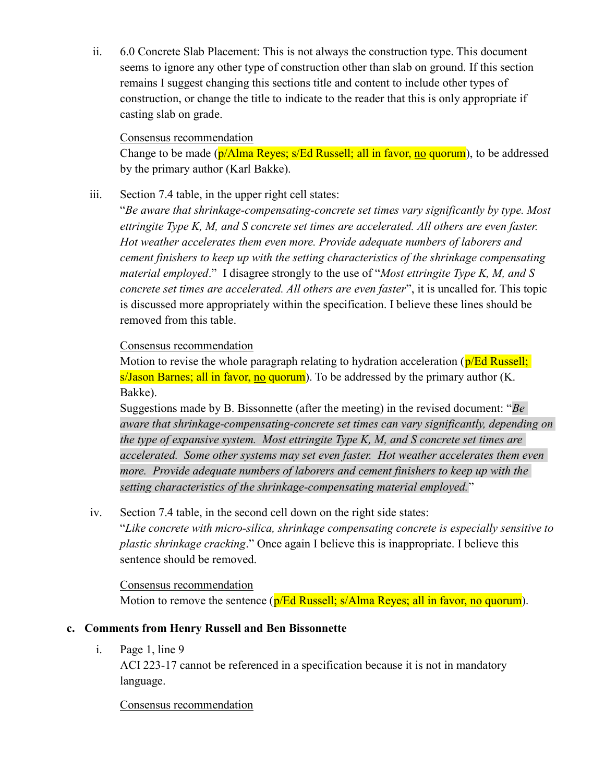ii. 6.0 Concrete Slab Placement: This is not always the construction type. This document seems to ignore any other type of construction other than slab on ground. If this section remains I suggest changing this sections title and content to include other types of construction, or change the title to indicate to the reader that this is only appropriate if casting slab on grade.

#### Consensus recommendation

Change to be made (p/Alma Reyes; s/Ed Russell; all in favor, no quorum), to be addressed by the primary author (Karl Bakke).

iii. Section 7.4 table, in the upper right cell states:

"Be aware that shrinkage-compensating-concrete set times vary significantly by type. Most ettringite Type K, M, and S concrete set times are accelerated. All others are even faster. Hot weather accelerates them even more. Provide adequate numbers of laborers and cement finishers to keep up with the setting characteristics of the shrinkage compensating material employed." I disagree strongly to the use of "Most ettringite Type K, M, and S concrete set times are accelerated. All others are even faster", it is uncalled for. This topic is discussed more appropriately within the specification. I believe these lines should be removed from this table.

#### Consensus recommendation

Motion to revise the whole paragraph relating to hydration acceleration ( $p/Ed$  Russell; s/Jason Barnes; all in favor, no quorum). To be addressed by the primary author (K. Bakke).

Suggestions made by B. Bissonnette (after the meeting) in the revised document: " $Be$ aware that shrinkage-compensating-concrete set times can vary significantly, depending on the type of expansive system. Most ettringite Type K, M, and S concrete set times are accelerated. Some other systems may set even faster. Hot weather accelerates them even more. Provide adequate numbers of laborers and cement finishers to keep up with the setting characteristics of the shrinkage-compensating material employed."

iv. Section 7.4 table, in the second cell down on the right side states:

"Like concrete with micro-silica, shrinkage compensating concrete is especially sensitive to plastic shrinkage cracking." Once again I believe this is inappropriate. I believe this sentence should be removed.

Consensus recommendation Motion to remove the sentence (p/Ed Russell; s/Alma Reyes; all in favor, no quorum).

#### c. Comments from Henry Russell and Ben Bissonnette

i. Page 1, line 9

ACI 223-17 cannot be referenced in a specification because it is not in mandatory language.

#### Consensus recommendation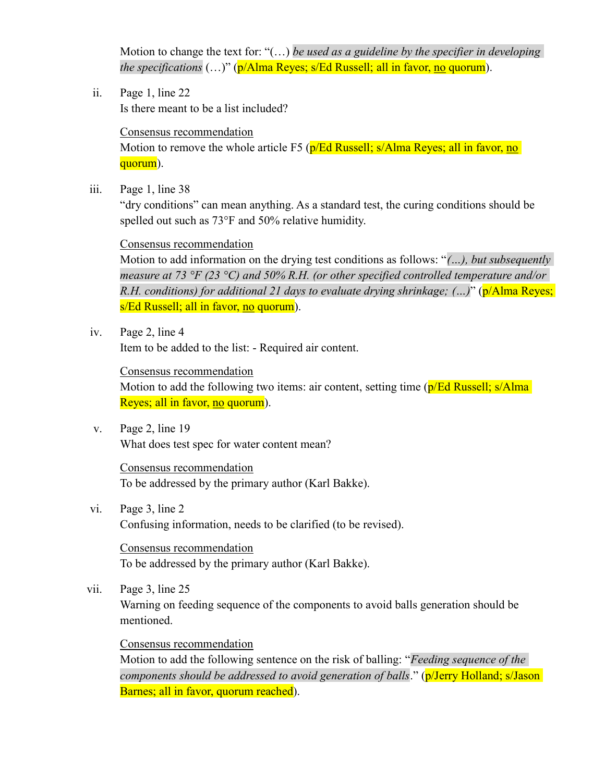Motion to change the text for: " $(...)$  be used as a guideline by the specifier in developing the specifications  $(...)$ " (p/Alma Reyes; s/Ed Russell; all in favor, no quorum).

ii. Page 1, line 22 Is there meant to be a list included?

# Consensus recommendation Motion to remove the whole article F5 (p/Ed Russell; s/Alma Reyes; all in favor, no quorum).

iii. Page 1, line 38

"dry conditions" can mean anything. As a standard test, the curing conditions should be spelled out such as 73°F and 50% relative humidity.

#### Consensus recommendation

Motion to add information on the drying test conditions as follows: "(...), but subsequently measure at 73 °F (23 °C) and 50% R.H. (or other specified controlled temperature and/or R.H. conditions) for additional 21 days to evaluate drying shrinkage;  $(\cdot, \cdot)$ " (p/Alma Reyes; s/Ed Russell; all in favor, no quorum).

iv. Page 2, line 4

Item to be added to the list: - Required air content.

#### Consensus recommendation

Motion to add the following two items: air content, setting time (p/Ed Russell; s/Alma) Reyes; all in favor, no quorum).

v. Page 2, line 19 What does test spec for water content mean?

> Consensus recommendation To be addressed by the primary author (Karl Bakke).

vi. Page 3, line 2 Confusing information, needs to be clarified (to be revised).

Consensus recommendation To be addressed by the primary author (Karl Bakke).

vii. Page 3, line 25

Warning on feeding sequence of the components to avoid balls generation should be mentioned.

# Consensus recommendation

Motion to add the following sentence on the risk of balling: "Feeding sequence of the components should be addressed to avoid generation of balls." (p/Jerry Holland; s/Jason Barnes; all in favor, quorum reached).